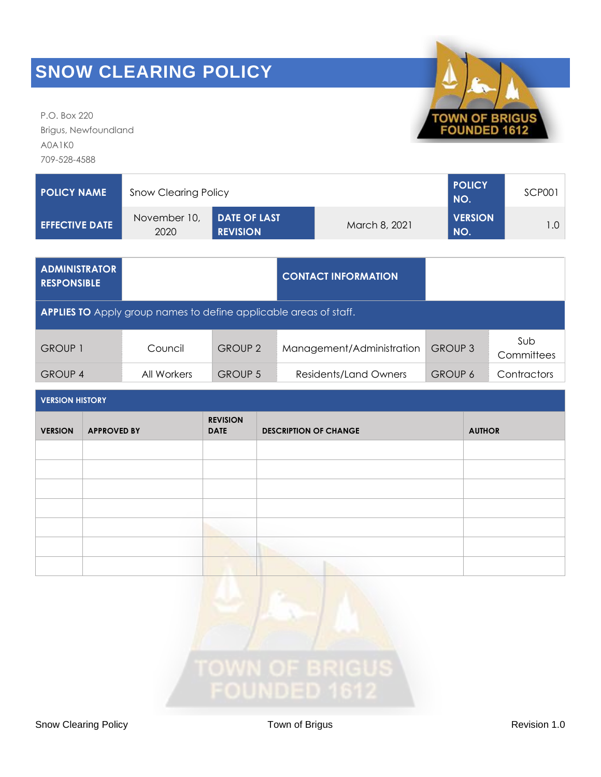P.O. Box 220 Brigus, Newfoundland A0A1K0 709-528-4588

| <b>POLICY NAME</b>    | <b>Snow Clearing Policy</b> | <b>POLICY</b><br>NO.                   | SCP001        |                       |       |
|-----------------------|-----------------------------|----------------------------------------|---------------|-----------------------|-------|
| <b>EFFECTIVE DATE</b> | November 10,<br>2020        | <b>DATE OF LAST</b><br><b>REVISION</b> | March 8, 2021 | <b>VERSION</b><br>NO. | 1.O I |

| <b>ADMINISTRATOR</b><br>RESPONSIBLE                                      |             |                | <b>CONTACT INFORMATION</b> |                |                   |  |  |
|--------------------------------------------------------------------------|-------------|----------------|----------------------------|----------------|-------------------|--|--|
| <b>APPLIES TO</b> Apply group names to define applicable areas of staff. |             |                |                            |                |                   |  |  |
| <b>GROUP 1</b>                                                           | Council     | <b>GROUP 2</b> | Management/Administration  | <b>GROUP 3</b> | Sub<br>Committees |  |  |
| <b>GROUP 4</b>                                                           | All Workers | <b>GROUP 5</b> | Residents/Land Owners      | <b>GROUP 6</b> | Contractors       |  |  |

| <b>VERSION HISTORY</b> |                    |                                |                              |               |  |  |
|------------------------|--------------------|--------------------------------|------------------------------|---------------|--|--|
| <b>VERSION</b>         | <b>APPROVED BY</b> | <b>REVISION</b><br><b>DATE</b> | <b>DESCRIPTION OF CHANGE</b> | <b>AUTHOR</b> |  |  |
|                        |                    |                                |                              |               |  |  |
|                        |                    |                                |                              |               |  |  |
|                        |                    |                                |                              |               |  |  |
|                        |                    |                                |                              |               |  |  |
|                        |                    |                                |                              |               |  |  |
|                        |                    |                                |                              |               |  |  |
|                        |                    |                                |                              |               |  |  |





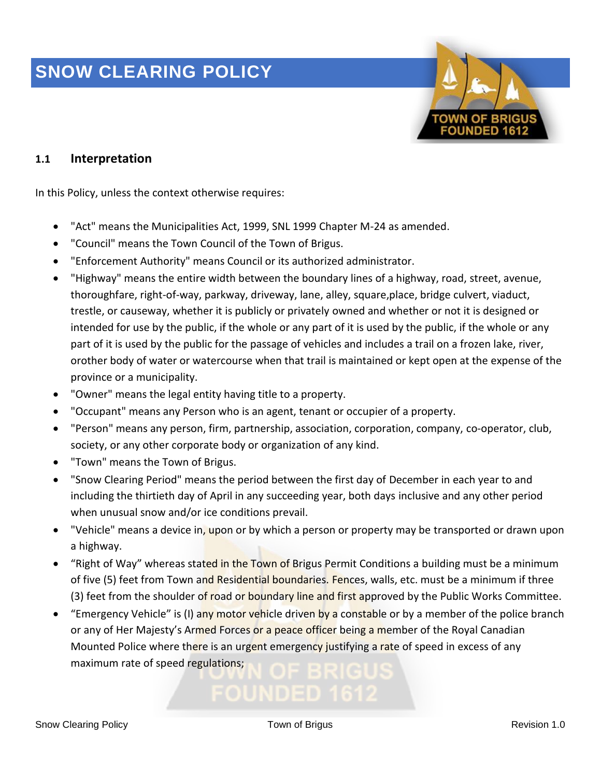

#### **1.1 Interpretation**

In this Policy, unless the context otherwise requires:

- "Act" means the Municipalities Act, 1999, SNL 1999 Chapter M-24 as amended.
- "Council" means the Town Council of the Town of Brigus.
- "Enforcement Authority" means Council or its authorized administrator.
- "Highway" means the entire width between the boundary lines of a highway, road, street, avenue, thoroughfare, right-of-way, parkway, driveway, lane, alley, square,place, bridge culvert, viaduct, trestle, or causeway, whether it is publicly or privately owned and whether or not it is designed or intended for use by the public, if the whole or any part of it is used by the public, if the whole or any part of it is used by the public for the passage of vehicles and includes a trail on a frozen lake, river, orother body of water or watercourse when that trail is maintained or kept open at the expense of the province or a municipality.
- "Owner" means the legal entity having title to a property.
- "Occupant" means any Person who is an agent, tenant or occupier of a property.
- "Person" means any person, firm, partnership, association, corporation, company, co-operator, club, society, or any other corporate body or organization of any kind.
- "Town" means the Town of Brigus.
- "Snow Clearing Period" means the period between the first day of December in each year to and including the thirtieth day of April in any succeeding year, both days inclusive and any other period when unusual snow and/or ice conditions prevail.
- "Vehicle" means a device in, upon or by which a person or property may be transported or drawn upon a highway.
- "Right of Way" whereas stated in the Town of Brigus Permit Conditions a building must be a minimum of five (5) feet from Town and Residential boundaries. Fences, walls, etc. must be a minimum if three (3) feet from the shoulder of road or boundary line and first approved by the Public Works Committee.
- "Emergency Vehicle" is (I) any motor vehicle driven by a constable or by a member of the police branch or any of Her Majesty's Armed Forces or a peace officer being a member of the Royal Canadian Mounted Police where there is an urgent emergency justifying a rate of speed in excess of any maximum rate of speed regulations;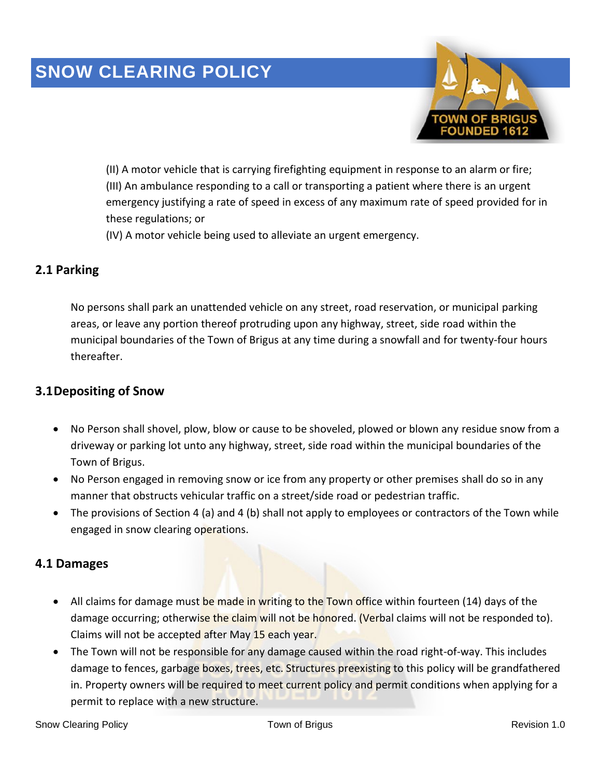

(II) A motor vehicle that is carrying firefighting equipment in response to an alarm or fire; (III) An ambulance responding to a call or transporting a patient where there is an urgent emergency justifying a rate of speed in excess of any maximum rate of speed provided for in these regulations; or

(IV) A motor vehicle being used to alleviate an urgent emergency.

#### **2.1 Parking**

No persons shall park an unattended vehicle on any street, road reservation, or municipal parking areas, or leave any portion thereof protruding upon any highway, street, side road within the municipal boundaries of the Town of Brigus at any time during a snowfall and for twenty-four hours thereafter.

#### **3.1Depositing of Snow**

- No Person shall shovel, plow, blow or cause to be shoveled, plowed or blown any residue snow from a driveway or parking lot unto any highway, street, side road within the municipal boundaries of the Town of Brigus.
- No Person engaged in removing snow or ice from any property or other premises shall do so in any manner that obstructs vehicular traffic on a street/side road or pedestrian traffic.
- The provisions of Section 4 (a) and 4 (b) shall not apply to employees or contractors of the Town while engaged in snow clearing operations.

#### **4.1 Damages**

- All claims for damage must be made in writing to the Town office within fourteen (14) days of the damage occurring; otherwise the claim will not be honored. (Verbal claims will not be responded to). Claims will not be accepted after May 15 each year.
- The Town will not be responsible for any damage caused within the road right-of-way. This includes damage to fences, garbage boxes, trees, etc. Structures preexisting to this policy will be grandfathered in. Property owners will be required to meet current policy and permit conditions when applying for a permit to replace with a new structure.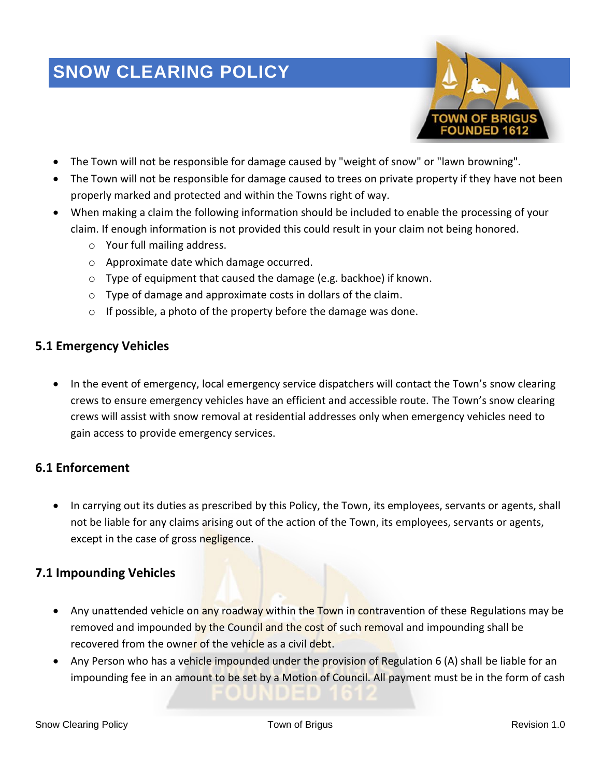

- The Town will not be responsible for damage caused by "weight of snow" or "lawn browning".
- The Town will not be responsible for damage caused to trees on private property if they have not been properly marked and protected and within the Towns right of way.
- When making a claim the following information should be included to enable the processing of your claim. If enough information is not provided this could result in your claim not being honored.
	- o Your full mailing address.
	- o Approximate date which damage occurred.
	- $\circ$  Type of equipment that caused the damage (e.g. backhoe) if known.
	- o Type of damage and approximate costs in dollars of the claim.
	- $\circ$  If possible, a photo of the property before the damage was done.

### **5.1 Emergency Vehicles**

• In the event of emergency, local emergency service dispatchers will contact the Town's snow clearing crews to ensure emergency vehicles have an efficient and accessible route. The Town's snow clearing crews will assist with snow removal at residential addresses only when emergency vehicles need to gain access to provide emergency services.

#### **6.1 Enforcement**

• In carrying out its duties as prescribed by this Policy, the Town, its employees, servants or agents, shall not be liable for any claims arising out of the action of the Town, its employees, servants or agents, except in the case of gross negligence.

#### **7.1 Impounding Vehicles**

- Any unattended vehicle on any roadway within the Town in contravention of these Regulations may be removed and impounded by the Council and the cost of such removal and impounding shall be recovered from the owner of the vehicle as a civil debt.
- Any Person who has a vehicle impounded under the provision of Regulation 6 (A) shall be liable for an impounding fee in an amount to be set by a Motion of Council. All payment must be in the form of cash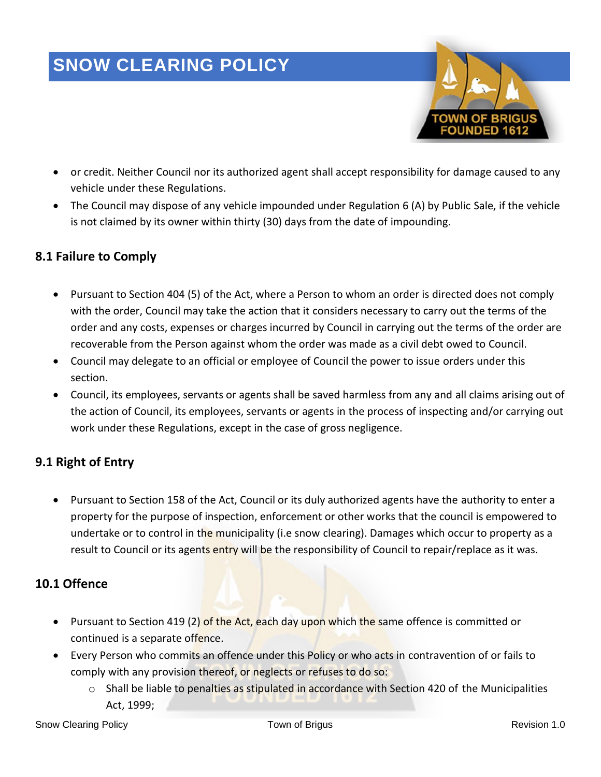

- or credit. Neither Council nor its authorized agent shall accept responsibility for damage caused to any vehicle under these Regulations.
- The Council may dispose of any vehicle impounded under Regulation 6 (A) by Public Sale, if the vehicle is not claimed by its owner within thirty (30) days from the date of impounding.

#### **8.1 Failure to Comply**

- Pursuant to Section 404 (5) of the Act, where a Person to whom an order is directed does not comply with the order, Council may take the action that it considers necessary to carry out the terms of the order and any costs, expenses or charges incurred by Council in carrying out the terms of the order are recoverable from the Person against whom the order was made as a civil debt owed to Council.
- Council may delegate to an official or employee of Council the power to issue orders under this section.
- Council, its employees, servants or agents shall be saved harmless from any and all claims arising out of the action of Council, its employees, servants or agents in the process of inspecting and/or carrying out work under these Regulations, except in the case of gross negligence.

#### **9.1 Right of Entry**

• Pursuant to Section 158 of the Act, Council or its duly authorized agents have the authority to enter a property for the purpose of inspection, enforcement or other works that the council is empowered to undertake or to control in the municipality (i.e snow clearing). Damages which occur to property as a result to Council or its agents entry will be the responsibility of Council to repair/replace as it was.

### **10.1 Offence**

- Pursuant to Section 419 (2) of the Act, each day upon which the same offence is committed or continued is a separate offence.
- Every Person who commits an offence under this Policy or who acts in contravention of or fails to comply with any provision thereof, or neglects or refuses to do so:
	- $\circ$  Shall be liable to penalties as stipulated in accordance with Section 420 of the Municipalities Act, 1999;